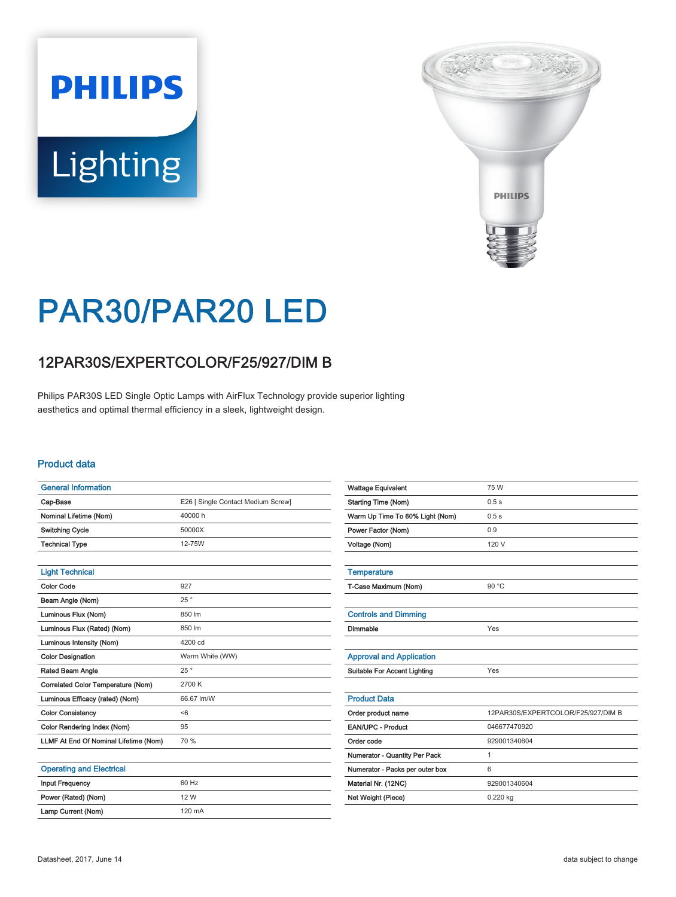# **PHILIPS Lighting**



## PAR30/PAR20 LED

### 12PAR30S/EXPERTCOLOR/F25/927/DIM B

Philips PAR30S LED Single Optic Lamps with AirFlux Technology provide superior lighting aesthetics and optimal thermal efficiency in a sleek, lightweight design.

#### Product data

| <b>General Information</b>            |                                    |
|---------------------------------------|------------------------------------|
| Cap-Base                              | E26 [ Single Contact Medium Screw] |
| Nominal Lifetime (Nom)                | 40000 h                            |
| <b>Switching Cycle</b>                | 50000X                             |
| <b>Technical Type</b>                 | 12-75W                             |
|                                       |                                    |
| <b>Light Technical</b>                |                                    |
| <b>Color Code</b>                     | 927                                |
| Beam Angle (Nom)                      | 25°                                |
| Luminous Flux (Nom)                   | 850 lm                             |
| Luminous Flux (Rated) (Nom)           | 850 lm                             |
| Luminous Intensity (Nom)              | 4200 cd                            |
| <b>Color Designation</b>              | Warm White (WW)                    |
| Rated Beam Angle                      | 25°                                |
| Correlated Color Temperature (Nom)    | 2700 K                             |
| Luminous Efficacy (rated) (Nom)       | 66.67 lm/W                         |
| <b>Color Consistency</b>              | < 6                                |
| Color Rendering Index (Nom)           | 95                                 |
| LLMF At End Of Nominal Lifetime (Nom) | 70 %                               |
|                                       |                                    |
| <b>Operating and Electrical</b>       |                                    |
| <b>Input Frequency</b>                | 60 Hz                              |
| Power (Rated) (Nom)                   | 12 W                               |

| <b>Wattage Equivalent</b>           | 75 W                               |
|-------------------------------------|------------------------------------|
| <b>Starting Time (Nom)</b>          | 0.5s                               |
| Warm Up Time To 60% Light (Nom)     | 0.5s                               |
| Power Factor (Nom)                  | 0.9                                |
| Voltage (Nom)                       | 120 V                              |
|                                     |                                    |
| <b>Temperature</b>                  |                                    |
| T-Case Maximum (Nom)                | 90 °C                              |
|                                     |                                    |
| <b>Controls and Dimming</b>         |                                    |
| Dimmable                            | Yes                                |
|                                     |                                    |
| <b>Approval and Application</b>     |                                    |
| <b>Suitable For Accent Lighting</b> | Yes                                |
|                                     |                                    |
| <b>Product Data</b>                 |                                    |
| Order product name                  | 12PAR30S/EXPERTCOLOR/F25/927/DIM B |
| <b>EAN/UPC - Product</b>            | 046677470920                       |
| Order code                          | 929001340604                       |
| Numerator - Quantity Per Pack       | 1                                  |
| Numerator - Packs per outer box     | 6                                  |
| Material Nr. (12NC)                 | 929001340604                       |
| Net Weight (Piece)                  | 0.220 kg                           |
|                                     |                                    |

Lamp Current (Nom) 120 mA